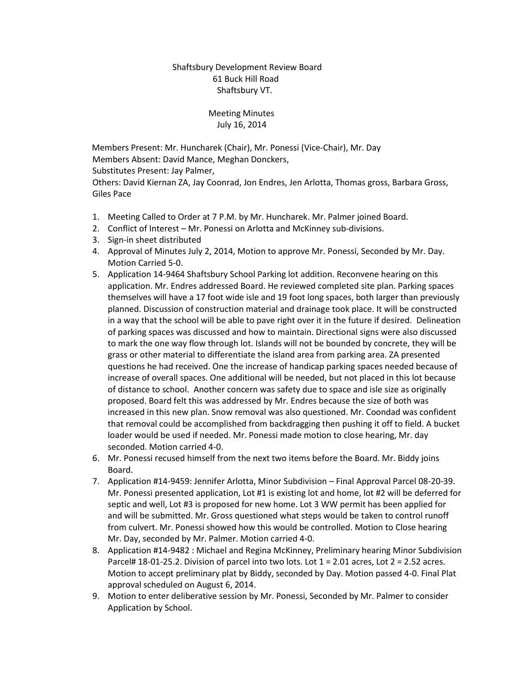Shaftsbury Development Review Board 61 Buck Hill Road Shaftsbury VT.

## Meeting Minutes July 16, 2014

 Members Present: Mr. Huncharek (Chair), Mr. Ponessi (Vice-Chair), Mr. Day Members Absent: David Mance, Meghan Donckers, Substitutes Present: Jay Palmer,

Others: David Kiernan ZA, Jay Coonrad, Jon Endres, Jen Arlotta, Thomas gross, Barbara Gross, Giles Pace

- 1. Meeting Called to Order at 7 P.M. by Mr. Huncharek. Mr. Palmer joined Board.
- 2. Conflict of Interest Mr. Ponessi on Arlotta and McKinney sub-divisions.
- 3. Sign-in sheet distributed
- 4. Approval of Minutes July 2, 2014, Motion to approve Mr. Ponessi, Seconded by Mr. Day. Motion Carried 5-0.
- 5. Application 14-9464 Shaftsbury School Parking lot addition. Reconvene hearing on this application. Mr. Endres addressed Board. He reviewed completed site plan. Parking spaces themselves will have a 17 foot wide isle and 19 foot long spaces, both larger than previously planned. Discussion of construction material and drainage took place. It will be constructed in a way that the school will be able to pave right over it in the future if desired. Delineation of parking spaces was discussed and how to maintain. Directional signs were also discussed to mark the one way flow through lot. Islands will not be bounded by concrete, they will be grass or other material to differentiate the island area from parking area. ZA presented questions he had received. One the increase of handicap parking spaces needed because of increase of overall spaces. One additional will be needed, but not placed in this lot because of distance to school. Another concern was safety due to space and isle size as originally proposed. Board felt this was addressed by Mr. Endres because the size of both was increased in this new plan. Snow removal was also questioned. Mr. Coondad was confident that removal could be accomplished from backdragging then pushing it off to field. A bucket loader would be used if needed. Mr. Ponessi made motion to close hearing, Mr. day seconded. Motion carried 4-0.
- 6. Mr. Ponessi recused himself from the next two items before the Board. Mr. Biddy joins Board.
- 7. Application #14-9459: Jennifer Arlotta, Minor Subdivision Final Approval Parcel 08-20-39. Mr. Ponessi presented application, Lot #1 is existing lot and home, lot #2 will be deferred for septic and well, Lot #3 is proposed for new home. Lot 3 WW permit has been applied for and will be submitted. Mr. Gross questioned what steps would be taken to control runoff from culvert. Mr. Ponessi showed how this would be controlled. Motion to Close hearing Mr. Day, seconded by Mr. Palmer. Motion carried 4-0.
- 8. Application #14-9482 : Michael and Regina McKinney, Preliminary hearing Minor Subdivision Parcel# 18-01-25.2. Division of parcel into two lots. Lot  $1 = 2.01$  acres, Lot  $2 = 2.52$  acres. Motion to accept preliminary plat by Biddy, seconded by Day. Motion passed 4-0. Final Plat approval scheduled on August 6, 2014.
- 9. Motion to enter deliberative session by Mr. Ponessi, Seconded by Mr. Palmer to consider Application by School.